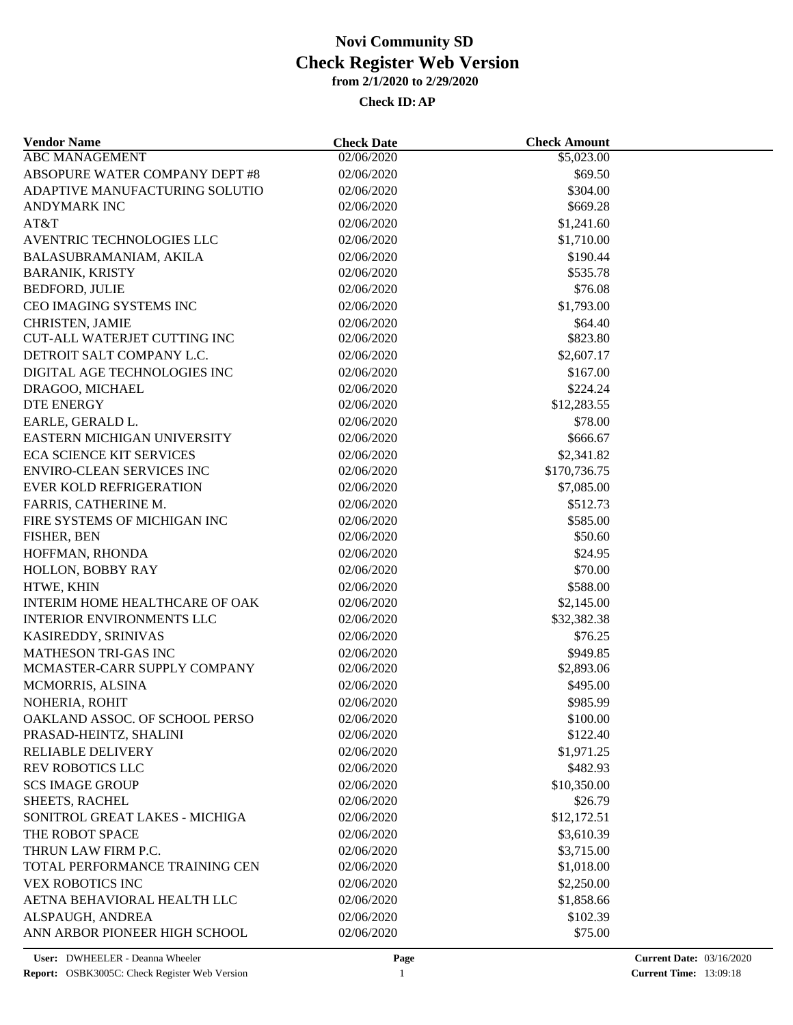| <b>Vendor Name</b>                  | <b>Check Date</b> | <b>Check Amount</b> |  |
|-------------------------------------|-------------------|---------------------|--|
| <b>ABC MANAGEMENT</b>               | 02/06/2020        | \$5,023.00          |  |
| ABSOPURE WATER COMPANY DEPT #8      | 02/06/2020        | \$69.50             |  |
| ADAPTIVE MANUFACTURING SOLUTIO      | 02/06/2020        | \$304.00            |  |
| <b>ANDYMARK INC</b>                 | 02/06/2020        | \$669.28            |  |
| AT&T                                | 02/06/2020        | \$1,241.60          |  |
| AVENTRIC TECHNOLOGIES LLC           | 02/06/2020        | \$1,710.00          |  |
| BALASUBRAMANIAM, AKILA              | 02/06/2020        | \$190.44            |  |
| <b>BARANIK, KRISTY</b>              | 02/06/2020        | \$535.78            |  |
| <b>BEDFORD, JULIE</b>               | 02/06/2020        | \$76.08             |  |
| CEO IMAGING SYSTEMS INC             | 02/06/2020        | \$1,793.00          |  |
| CHRISTEN, JAMIE                     | 02/06/2020        | \$64.40             |  |
| <b>CUT-ALL WATERJET CUTTING INC</b> | 02/06/2020        | \$823.80            |  |
| DETROIT SALT COMPANY L.C.           | 02/06/2020        | \$2,607.17          |  |
| DIGITAL AGE TECHNOLOGIES INC        | 02/06/2020        | \$167.00            |  |
| DRAGOO, MICHAEL                     | 02/06/2020        | \$224.24            |  |
| <b>DTE ENERGY</b>                   | 02/06/2020        | \$12,283.55         |  |
| EARLE, GERALD L.                    | 02/06/2020        | \$78.00             |  |
| EASTERN MICHIGAN UNIVERSITY         | 02/06/2020        | \$666.67            |  |
| <b>ECA SCIENCE KIT SERVICES</b>     | 02/06/2020        | \$2,341.82          |  |
| <b>ENVIRO-CLEAN SERVICES INC</b>    | 02/06/2020        | \$170,736.75        |  |
| <b>EVER KOLD REFRIGERATION</b>      | 02/06/2020        | \$7,085.00          |  |
| FARRIS, CATHERINE M.                |                   | \$512.73            |  |
|                                     | 02/06/2020        |                     |  |
| FIRE SYSTEMS OF MICHIGAN INC        | 02/06/2020        | \$585.00            |  |
| FISHER, BEN                         | 02/06/2020        | \$50.60             |  |
| HOFFMAN, RHONDA                     | 02/06/2020        | \$24.95             |  |
| HOLLON, BOBBY RAY                   | 02/06/2020        | \$70.00             |  |
| HTWE, KHIN                          | 02/06/2020        | \$588.00            |  |
| INTERIM HOME HEALTHCARE OF OAK      | 02/06/2020        | \$2,145.00          |  |
| <b>INTERIOR ENVIRONMENTS LLC</b>    | 02/06/2020        | \$32,382.38         |  |
| KASIREDDY, SRINIVAS                 | 02/06/2020        | \$76.25             |  |
| MATHESON TRI-GAS INC                | 02/06/2020        | \$949.85            |  |
| MCMASTER-CARR SUPPLY COMPANY        | 02/06/2020        | \$2,893.06          |  |
| MCMORRIS, ALSINA                    | 02/06/2020        | \$495.00            |  |
| NOHERIA, ROHIT                      | 02/06/2020        | \$985.99            |  |
| OAKLAND ASSOC. OF SCHOOL PERSO      | 02/06/2020        | \$100.00            |  |
| PRASAD-HEINTZ, SHALINI              | 02/06/2020        | \$122.40            |  |
| <b>RELIABLE DELIVERY</b>            | 02/06/2020        | \$1,971.25          |  |
| <b>REV ROBOTICS LLC</b>             | 02/06/2020        | \$482.93            |  |
| <b>SCS IMAGE GROUP</b>              | 02/06/2020        | \$10,350.00         |  |
| <b>SHEETS, RACHEL</b>               | 02/06/2020        | \$26.79             |  |
| SONITROL GREAT LAKES - MICHIGA      | 02/06/2020        | \$12,172.51         |  |
| THE ROBOT SPACE                     | 02/06/2020        | \$3,610.39          |  |
| THRUN LAW FIRM P.C.                 | 02/06/2020        | \$3,715.00          |  |
| TOTAL PERFORMANCE TRAINING CEN      | 02/06/2020        | \$1,018.00          |  |
| <b>VEX ROBOTICS INC</b>             | 02/06/2020        | \$2,250.00          |  |
| AETNA BEHAVIORAL HEALTH LLC         | 02/06/2020        | \$1,858.66          |  |
| ALSPAUGH, ANDREA                    | 02/06/2020        | \$102.39            |  |
| ANN ARBOR PIONEER HIGH SCHOOL       | 02/06/2020        | \$75.00             |  |
|                                     |                   |                     |  |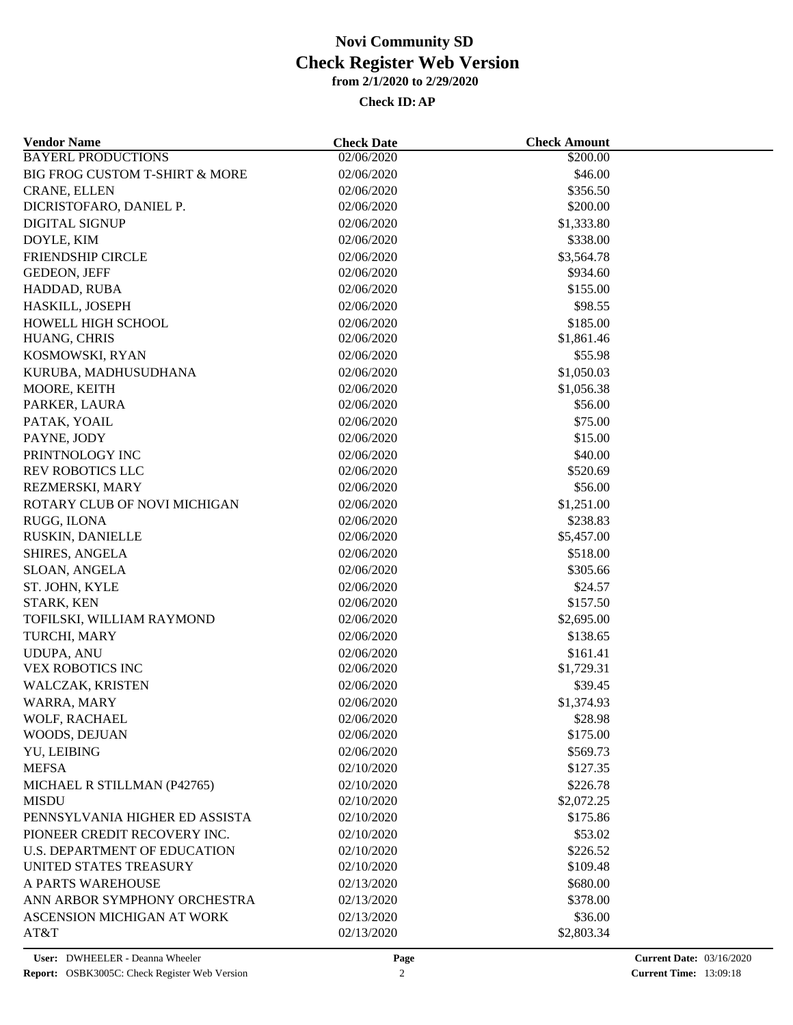| <b>Vendor Name</b>                           | <b>Check Date</b>        | <b>Check Amount</b>    |  |
|----------------------------------------------|--------------------------|------------------------|--|
| <b>BAYERL PRODUCTIONS</b>                    | 02/06/2020               | \$200.00               |  |
| <b>BIG FROG CUSTOM T-SHIRT &amp; MORE</b>    | 02/06/2020               | \$46.00                |  |
| CRANE, ELLEN                                 | 02/06/2020               | \$356.50               |  |
| DICRISTOFARO, DANIEL P.                      | 02/06/2020               | \$200.00               |  |
| <b>DIGITAL SIGNUP</b>                        | 02/06/2020               | \$1,333.80             |  |
| DOYLE, KIM                                   | 02/06/2020               | \$338.00               |  |
| FRIENDSHIP CIRCLE                            | 02/06/2020               | \$3,564.78             |  |
| GEDEON, JEFF                                 | 02/06/2020               | \$934.60               |  |
| HADDAD, RUBA                                 | 02/06/2020               | \$155.00               |  |
| HASKILL, JOSEPH                              | 02/06/2020               | \$98.55                |  |
| HOWELL HIGH SCHOOL                           | 02/06/2020               | \$185.00               |  |
| HUANG, CHRIS                                 | 02/06/2020               | \$1,861.46             |  |
| KOSMOWSKI, RYAN                              | 02/06/2020               | \$55.98                |  |
| KURUBA, MADHUSUDHANA                         | 02/06/2020               | \$1,050.03             |  |
| MOORE, KEITH                                 | 02/06/2020               | \$1,056.38             |  |
| PARKER, LAURA                                | 02/06/2020               | \$56.00                |  |
| PATAK, YOAIL                                 | 02/06/2020               | \$75.00                |  |
| PAYNE, JODY                                  | 02/06/2020               | \$15.00                |  |
| PRINTNOLOGY INC                              | 02/06/2020               | \$40.00                |  |
| REV ROBOTICS LLC                             | 02/06/2020               | \$520.69               |  |
| REZMERSKI, MARY                              | 02/06/2020               | \$56.00                |  |
| ROTARY CLUB OF NOVI MICHIGAN                 | 02/06/2020               | \$1,251.00             |  |
| RUGG, ILONA                                  | 02/06/2020               | \$238.83               |  |
| RUSKIN, DANIELLE                             | 02/06/2020               | \$5,457.00             |  |
| SHIRES, ANGELA                               | 02/06/2020               | \$518.00               |  |
| SLOAN, ANGELA                                | 02/06/2020               | \$305.66               |  |
| ST. JOHN, KYLE                               | 02/06/2020               | \$24.57                |  |
| <b>STARK, KEN</b>                            | 02/06/2020               | \$157.50               |  |
| TOFILSKI, WILLIAM RAYMOND                    | 02/06/2020               | \$2,695.00             |  |
|                                              |                          |                        |  |
| TURCHI, MARY                                 | 02/06/2020<br>02/06/2020 | \$138.65               |  |
| <b>UDUPA, ANU</b><br><b>VEX ROBOTICS INC</b> |                          | \$161.41<br>\$1,729.31 |  |
| WALCZAK, KRISTEN                             | 02/06/2020               |                        |  |
|                                              | 02/06/2020               | \$39.45                |  |
| WARRA, MARY                                  | 02/06/2020               | \$1,374.93             |  |
| WOLF, RACHAEL                                | 02/06/2020               | \$28.98                |  |
| WOODS, DEJUAN                                | 02/06/2020               | \$175.00               |  |
| YU, LEIBING                                  | 02/06/2020               | \$569.73               |  |
| <b>MEFSA</b>                                 | 02/10/2020               | \$127.35               |  |
| MICHAEL R STILLMAN (P42765)                  | 02/10/2020               | \$226.78               |  |
| <b>MISDU</b>                                 | 02/10/2020               | \$2,072.25             |  |
| PENNSYLVANIA HIGHER ED ASSISTA               | 02/10/2020               | \$175.86               |  |
| PIONEER CREDIT RECOVERY INC.                 | 02/10/2020               | \$53.02                |  |
| <b>U.S. DEPARTMENT OF EDUCATION</b>          | 02/10/2020               | \$226.52               |  |
| UNITED STATES TREASURY                       | 02/10/2020               | \$109.48               |  |
| A PARTS WAREHOUSE                            | 02/13/2020               | \$680.00               |  |
| ANN ARBOR SYMPHONY ORCHESTRA                 | 02/13/2020               | \$378.00               |  |
| ASCENSION MICHIGAN AT WORK                   | 02/13/2020               | \$36.00                |  |
| AT&T                                         | 02/13/2020               | \$2,803.34             |  |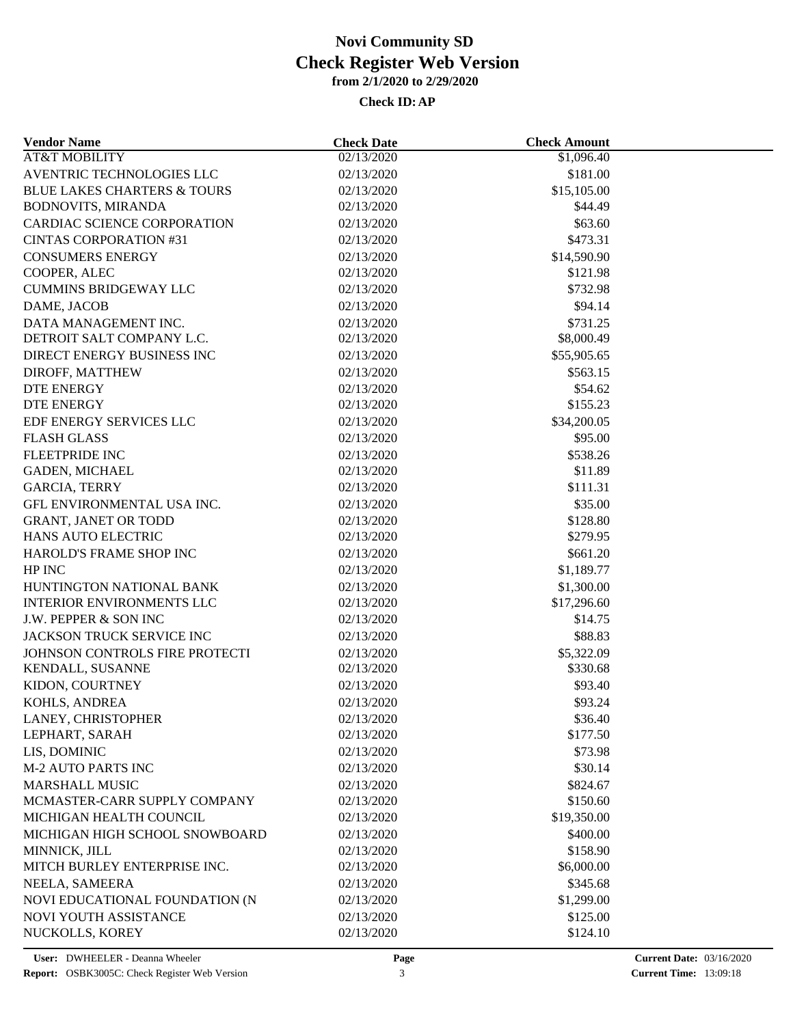| <b>Vendor Name</b>                     | <b>Check Date</b> | <b>Check Amount</b>    |  |
|----------------------------------------|-------------------|------------------------|--|
| <b>AT&amp;T MOBILITY</b>               | 02/13/2020        | \$1,096.40             |  |
| AVENTRIC TECHNOLOGIES LLC              | 02/13/2020        | \$181.00               |  |
| <b>BLUE LAKES CHARTERS &amp; TOURS</b> | 02/13/2020        | \$15,105.00            |  |
| <b>BODNOVITS, MIRANDA</b>              | 02/13/2020        | \$44.49                |  |
| CARDIAC SCIENCE CORPORATION            | 02/13/2020        | \$63.60                |  |
| <b>CINTAS CORPORATION #31</b>          | 02/13/2020        | \$473.31               |  |
| <b>CONSUMERS ENERGY</b>                | 02/13/2020        | \$14,590.90            |  |
| COOPER, ALEC                           | 02/13/2020        | \$121.98               |  |
| <b>CUMMINS BRIDGEWAY LLC</b>           | 02/13/2020        | \$732.98               |  |
| DAME, JACOB                            | 02/13/2020        | \$94.14                |  |
| DATA MANAGEMENT INC.                   | 02/13/2020        | \$731.25               |  |
| DETROIT SALT COMPANY L.C.              | 02/13/2020        | \$8,000.49             |  |
| DIRECT ENERGY BUSINESS INC             | 02/13/2020        | \$55,905.65            |  |
| DIROFF, MATTHEW                        | 02/13/2020        | \$563.15               |  |
| <b>DTE ENERGY</b>                      | 02/13/2020        | \$54.62                |  |
| <b>DTE ENERGY</b>                      | 02/13/2020        | \$155.23               |  |
| EDF ENERGY SERVICES LLC                | 02/13/2020        | \$34,200.05            |  |
| <b>FLASH GLASS</b>                     | 02/13/2020        | \$95.00                |  |
| FLEETPRIDE INC                         | 02/13/2020        | \$538.26               |  |
| GADEN, MICHAEL                         | 02/13/2020        | \$11.89                |  |
| <b>GARCIA, TERRY</b>                   | 02/13/2020        | \$111.31               |  |
| GFL ENVIRONMENTAL USA INC.             | 02/13/2020        | \$35.00                |  |
| <b>GRANT, JANET OR TODD</b>            | 02/13/2020        | \$128.80               |  |
| HANS AUTO ELECTRIC                     | 02/13/2020        | \$279.95               |  |
| HAROLD'S FRAME SHOP INC                | 02/13/2020        | \$661.20               |  |
| HP INC                                 | 02/13/2020        | \$1,189.77             |  |
| HUNTINGTON NATIONAL BANK               | 02/13/2020        | \$1,300.00             |  |
| <b>INTERIOR ENVIRONMENTS LLC</b>       | 02/13/2020        | \$17,296.60            |  |
| J.W. PEPPER & SON INC                  | 02/13/2020        | \$14.75                |  |
| JACKSON TRUCK SERVICE INC              | 02/13/2020        | \$88.83                |  |
| JOHNSON CONTROLS FIRE PROTECTI         |                   |                        |  |
|                                        | 02/13/2020        | \$5,322.09<br>\$330.68 |  |
| KENDALL, SUSANNE                       | 02/13/2020        |                        |  |
| KIDON, COURTNEY                        | 02/13/2020        | \$93.40                |  |
| KOHLS, ANDREA                          | 02/13/2020        | \$93.24                |  |
| LANEY, CHRISTOPHER                     | 02/13/2020        | \$36.40                |  |
| LEPHART, SARAH                         | 02/13/2020        | \$177.50               |  |
| LIS, DOMINIC                           | 02/13/2020        | \$73.98                |  |
| <b>M-2 AUTO PARTS INC</b>              | 02/13/2020        | \$30.14                |  |
| <b>MARSHALL MUSIC</b>                  | 02/13/2020        | \$824.67               |  |
| MCMASTER-CARR SUPPLY COMPANY           | 02/13/2020        | \$150.60               |  |
| MICHIGAN HEALTH COUNCIL                | 02/13/2020        | \$19,350.00            |  |
| MICHIGAN HIGH SCHOOL SNOWBOARD         | 02/13/2020        | \$400.00               |  |
| MINNICK, JILL                          | 02/13/2020        | \$158.90               |  |
| MITCH BURLEY ENTERPRISE INC.           | 02/13/2020        | \$6,000.00             |  |
| NEELA, SAMEERA                         | 02/13/2020        | \$345.68               |  |
| NOVI EDUCATIONAL FOUNDATION (N         | 02/13/2020        | \$1,299.00             |  |
| NOVI YOUTH ASSISTANCE                  | 02/13/2020        | \$125.00               |  |
| NUCKOLLS, KOREY                        | 02/13/2020        | \$124.10               |  |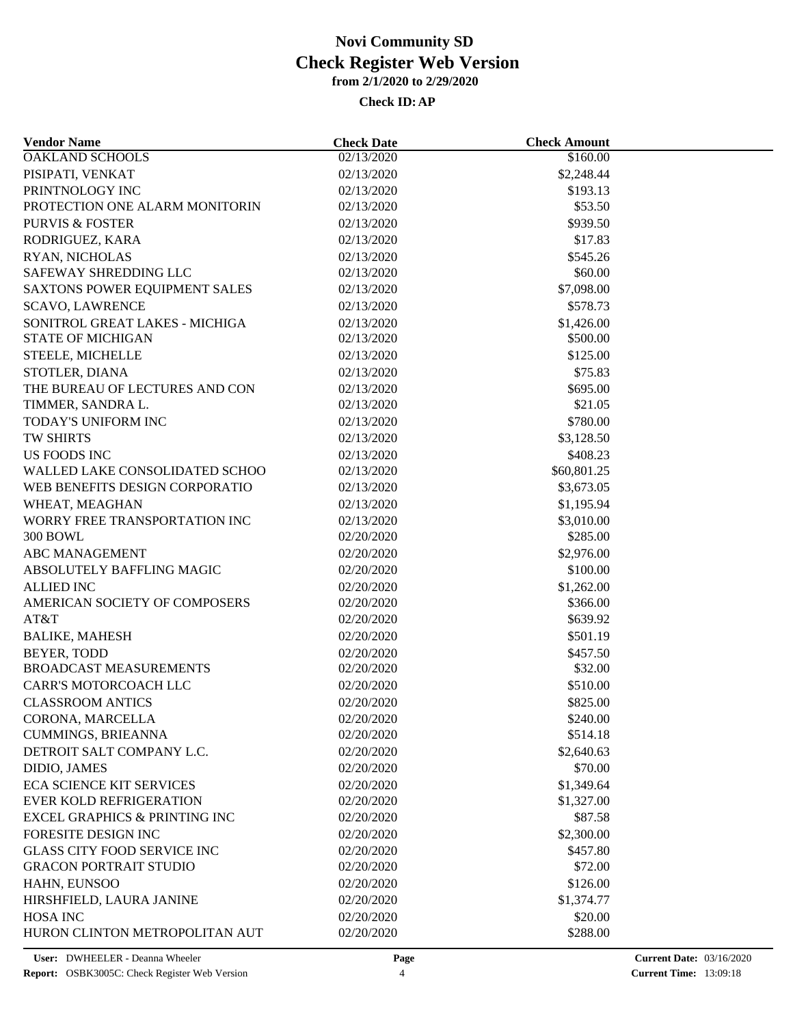| <b>Vendor Name</b>                                 | <b>Check Date</b>        | <b>Check Amount</b>    |  |
|----------------------------------------------------|--------------------------|------------------------|--|
| <b>OAKLAND SCHOOLS</b>                             | 02/13/2020               | \$160.00               |  |
| PISIPATI, VENKAT                                   | 02/13/2020               | \$2,248.44             |  |
| PRINTNOLOGY INC                                    | 02/13/2020               | \$193.13               |  |
| PROTECTION ONE ALARM MONITORIN                     | 02/13/2020               | \$53.50                |  |
| <b>PURVIS &amp; FOSTER</b>                         | 02/13/2020               | \$939.50               |  |
| RODRIGUEZ, KARA                                    | 02/13/2020               | \$17.83                |  |
| RYAN, NICHOLAS                                     | 02/13/2020               | \$545.26               |  |
| SAFEWAY SHREDDING LLC                              | 02/13/2020               | \$60.00                |  |
| SAXTONS POWER EQUIPMENT SALES                      | 02/13/2020               | \$7,098.00             |  |
| <b>SCAVO, LAWRENCE</b>                             | 02/13/2020               | \$578.73               |  |
| SONITROL GREAT LAKES - MICHIGA                     | 02/13/2020               | \$1,426.00             |  |
| <b>STATE OF MICHIGAN</b>                           | 02/13/2020               | \$500.00               |  |
| STEELE, MICHELLE                                   | 02/13/2020               | \$125.00               |  |
| STOTLER, DIANA                                     | 02/13/2020               | \$75.83                |  |
| THE BUREAU OF LECTURES AND CON                     | 02/13/2020               | \$695.00               |  |
| TIMMER, SANDRA L.                                  | 02/13/2020               | \$21.05                |  |
| TODAY'S UNIFORM INC                                | 02/13/2020               | \$780.00               |  |
| <b>TW SHIRTS</b>                                   | 02/13/2020               | \$3,128.50             |  |
| US FOODS INC                                       | 02/13/2020               | \$408.23               |  |
| WALLED LAKE CONSOLIDATED SCHOO                     | 02/13/2020               | \$60,801.25            |  |
| WEB BENEFITS DESIGN CORPORATIO                     | 02/13/2020               | \$3,673.05             |  |
| WHEAT, MEAGHAN                                     | 02/13/2020               | \$1,195.94             |  |
| WORRY FREE TRANSPORTATION INC                      | 02/13/2020               | \$3,010.00             |  |
| <b>300 BOWL</b>                                    | 02/20/2020               | \$285.00               |  |
| <b>ABC MANAGEMENT</b>                              | 02/20/2020               | \$2,976.00             |  |
| ABSOLUTELY BAFFLING MAGIC                          | 02/20/2020               | \$100.00               |  |
|                                                    |                          |                        |  |
| <b>ALLIED INC</b><br>AMERICAN SOCIETY OF COMPOSERS | 02/20/2020<br>02/20/2020 | \$1,262.00<br>\$366.00 |  |
| AT&T                                               |                          |                        |  |
|                                                    | 02/20/2020               | \$639.92               |  |
| <b>BALIKE, MAHESH</b>                              | 02/20/2020               | \$501.19               |  |
| <b>BEYER, TODD</b>                                 | 02/20/2020               | \$457.50               |  |
| <b>BROADCAST MEASUREMENTS</b>                      | 02/20/2020               | \$32.00                |  |
| CARR'S MOTORCOACH LLC                              | 02/20/2020               | \$510.00               |  |
| <b>CLASSROOM ANTICS</b>                            | 02/20/2020               | \$825.00               |  |
| CORONA, MARCELLA                                   | 02/20/2020               | \$240.00               |  |
| CUMMINGS, BRIEANNA                                 | 02/20/2020               | \$514.18               |  |
| DETROIT SALT COMPANY L.C.                          | 02/20/2020               | \$2,640.63             |  |
| DIDIO, JAMES                                       | 02/20/2020               | \$70.00                |  |
| <b>ECA SCIENCE KIT SERVICES</b>                    | 02/20/2020               | \$1,349.64             |  |
| <b>EVER KOLD REFRIGERATION</b>                     | 02/20/2020               | \$1,327.00             |  |
| <b>EXCEL GRAPHICS &amp; PRINTING INC</b>           | 02/20/2020               | \$87.58                |  |
| FORESITE DESIGN INC                                | 02/20/2020               | \$2,300.00             |  |
| <b>GLASS CITY FOOD SERVICE INC</b>                 | 02/20/2020               | \$457.80               |  |
| <b>GRACON PORTRAIT STUDIO</b>                      | 02/20/2020               | \$72.00                |  |
| HAHN, EUNSOO                                       | 02/20/2020               | \$126.00               |  |
| HIRSHFIELD, LAURA JANINE                           | 02/20/2020               | \$1,374.77             |  |
| <b>HOSA INC</b>                                    | 02/20/2020               | \$20.00                |  |
| HURON CLINTON METROPOLITAN AUT                     | 02/20/2020               | \$288.00               |  |
|                                                    |                          |                        |  |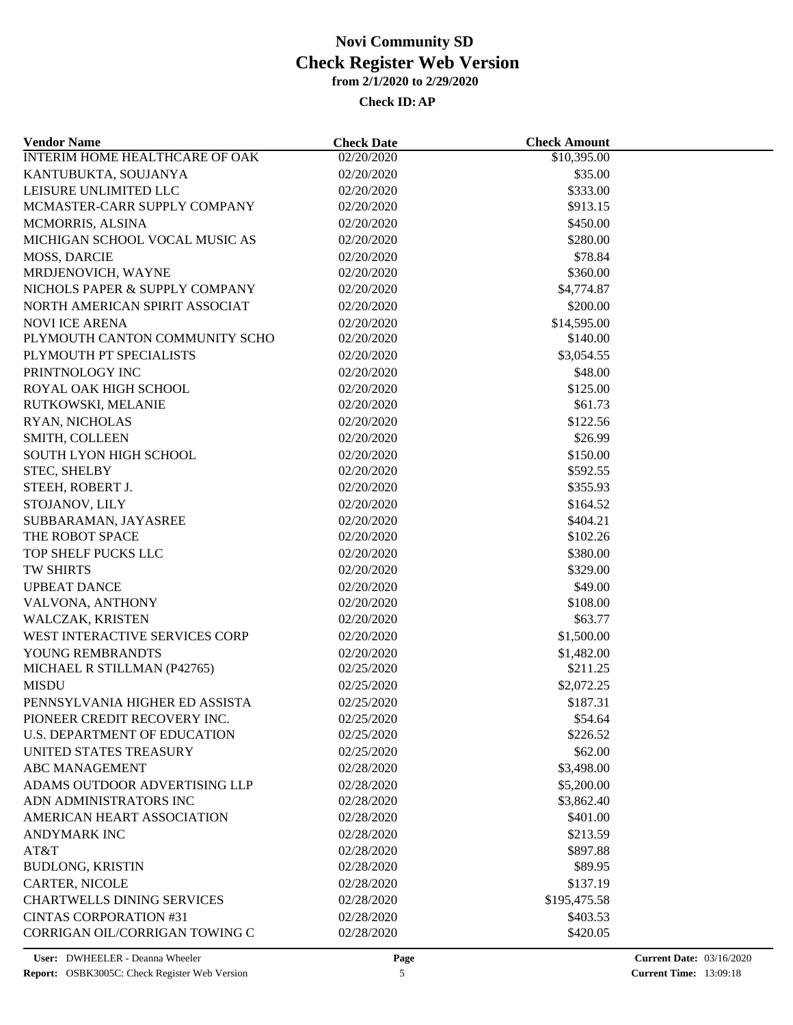| <b>Vendor Name</b>                    | <b>Check Date</b> | <b>Check Amount</b> |  |
|---------------------------------------|-------------------|---------------------|--|
| <b>INTERIM HOME HEALTHCARE OF OAK</b> | 02/20/2020        | \$10,395.00         |  |
| KANTUBUKTA, SOUJANYA                  | 02/20/2020        | \$35.00             |  |
| LEISURE UNLIMITED LLC                 | 02/20/2020        | \$333.00            |  |
| MCMASTER-CARR SUPPLY COMPANY          | 02/20/2020        | \$913.15            |  |
| MCMORRIS, ALSINA                      | 02/20/2020        | \$450.00            |  |
| MICHIGAN SCHOOL VOCAL MUSIC AS        | 02/20/2020        | \$280.00            |  |
| MOSS, DARCIE                          | 02/20/2020        | \$78.84             |  |
| MRDJENOVICH, WAYNE                    | 02/20/2020        | \$360.00            |  |
| NICHOLS PAPER & SUPPLY COMPANY        | 02/20/2020        | \$4,774.87          |  |
| NORTH AMERICAN SPIRIT ASSOCIAT        | 02/20/2020        | \$200.00            |  |
| <b>NOVI ICE ARENA</b>                 | 02/20/2020        | \$14,595.00         |  |
| PLYMOUTH CANTON COMMUNITY SCHO        | 02/20/2020        | \$140.00            |  |
| PLYMOUTH PT SPECIALISTS               | 02/20/2020        | \$3,054.55          |  |
| PRINTNOLOGY INC                       | 02/20/2020        | \$48.00             |  |
| ROYAL OAK HIGH SCHOOL                 | 02/20/2020        | \$125.00            |  |
| RUTKOWSKI, MELANIE                    | 02/20/2020        | \$61.73             |  |
| RYAN, NICHOLAS                        | 02/20/2020        | \$122.56            |  |
| SMITH, COLLEEN                        | 02/20/2020        | \$26.99             |  |
| SOUTH LYON HIGH SCHOOL                | 02/20/2020        | \$150.00            |  |
| STEC, SHELBY                          | 02/20/2020        | \$592.55            |  |
| STEEH, ROBERT J.                      | 02/20/2020        | \$355.93            |  |
| STOJANOV, LILY                        | 02/20/2020        | \$164.52            |  |
| SUBBARAMAN, JAYASREE                  | 02/20/2020        | \$404.21            |  |
| THE ROBOT SPACE                       | 02/20/2020        | \$102.26            |  |
| TOP SHELF PUCKS LLC                   | 02/20/2020        | \$380.00            |  |
| TW SHIRTS                             | 02/20/2020        | \$329.00            |  |
| <b>UPBEAT DANCE</b>                   | 02/20/2020        | \$49.00             |  |
| VALVONA, ANTHONY                      | 02/20/2020        | \$108.00            |  |
| WALCZAK, KRISTEN                      | 02/20/2020        | \$63.77             |  |
| WEST INTERACTIVE SERVICES CORP        | 02/20/2020        | \$1,500.00          |  |
| YOUNG REMBRANDTS                      | 02/20/2020        | \$1,482.00          |  |
| MICHAEL R STILLMAN (P42765)           | 02/25/2020        | \$211.25            |  |
| <b>MISDU</b>                          | 02/25/2020        | \$2,072.25          |  |
| PENNSYLVANIA HIGHER ED ASSISTA        | 02/25/2020        | \$187.31            |  |
| PIONEER CREDIT RECOVERY INC.          | 02/25/2020        | \$54.64             |  |
| U.S. DEPARTMENT OF EDUCATION          | 02/25/2020        | \$226.52            |  |
| UNITED STATES TREASURY                | 02/25/2020        | \$62.00             |  |
| <b>ABC MANAGEMENT</b>                 | 02/28/2020        | \$3,498.00          |  |
| ADAMS OUTDOOR ADVERTISING LLP         | 02/28/2020        | \$5,200.00          |  |
| ADN ADMINISTRATORS INC                | 02/28/2020        | \$3,862.40          |  |
| AMERICAN HEART ASSOCIATION            | 02/28/2020        | \$401.00            |  |
| <b>ANDYMARK INC</b>                   | 02/28/2020        | \$213.59            |  |
| AT&T                                  | 02/28/2020        | \$897.88            |  |
|                                       |                   |                     |  |
| <b>BUDLONG, KRISTIN</b>               | 02/28/2020        | \$89.95             |  |
| CARTER, NICOLE                        | 02/28/2020        | \$137.19            |  |
| <b>CHARTWELLS DINING SERVICES</b>     | 02/28/2020        | \$195,475.58        |  |
| <b>CINTAS CORPORATION #31</b>         | 02/28/2020        | \$403.53            |  |
| CORRIGAN OIL/CORRIGAN TOWING C        | 02/28/2020        | \$420.05            |  |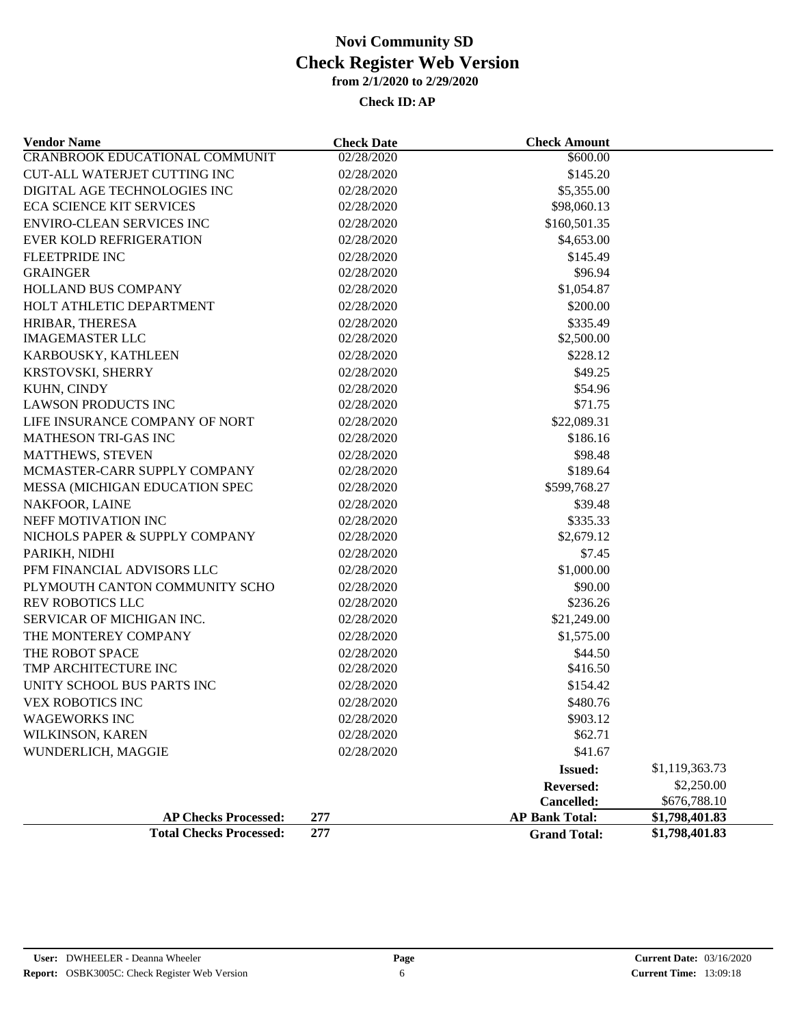| <b>Vendor Name</b>                    | <b>Check Date</b> | <b>Check Amount</b>   |                |
|---------------------------------------|-------------------|-----------------------|----------------|
| <b>CRANBROOK EDUCATIONAL COMMUNIT</b> | 02/28/2020        | \$600.00              |                |
| <b>CUT-ALL WATERJET CUTTING INC</b>   | 02/28/2020        | \$145.20              |                |
| DIGITAL AGE TECHNOLOGIES INC          | 02/28/2020        | \$5,355.00            |                |
| <b>ECA SCIENCE KIT SERVICES</b>       | 02/28/2020        | \$98,060.13           |                |
| <b>ENVIRO-CLEAN SERVICES INC</b>      | 02/28/2020        | \$160,501.35          |                |
| <b>EVER KOLD REFRIGERATION</b>        | 02/28/2020        | \$4,653.00            |                |
| <b>FLEETPRIDE INC</b>                 | 02/28/2020        | \$145.49              |                |
| <b>GRAINGER</b>                       | 02/28/2020        | \$96.94               |                |
| <b>HOLLAND BUS COMPANY</b>            | 02/28/2020        | \$1,054.87            |                |
| HOLT ATHLETIC DEPARTMENT              | 02/28/2020        | \$200.00              |                |
| HRIBAR, THERESA                       | 02/28/2020        | \$335.49              |                |
| <b>IMAGEMASTER LLC</b>                | 02/28/2020        | \$2,500.00            |                |
| KARBOUSKY, KATHLEEN                   | 02/28/2020        | \$228.12              |                |
| KRSTOVSKI, SHERRY                     | 02/28/2020        | \$49.25               |                |
| KUHN, CINDY                           | 02/28/2020        | \$54.96               |                |
| <b>LAWSON PRODUCTS INC</b>            | 02/28/2020        | \$71.75               |                |
| LIFE INSURANCE COMPANY OF NORT        | 02/28/2020        | \$22,089.31           |                |
| MATHESON TRI-GAS INC                  | 02/28/2020        | \$186.16              |                |
| <b>MATTHEWS, STEVEN</b>               | 02/28/2020        | \$98.48               |                |
| MCMASTER-CARR SUPPLY COMPANY          | 02/28/2020        | \$189.64              |                |
| MESSA (MICHIGAN EDUCATION SPEC        | 02/28/2020        | \$599,768.27          |                |
| NAKFOOR, LAINE                        | 02/28/2020        | \$39.48               |                |
| NEFF MOTIVATION INC                   | 02/28/2020        | \$335.33              |                |
| NICHOLS PAPER & SUPPLY COMPANY        | 02/28/2020        | \$2,679.12            |                |
| PARIKH, NIDHI                         | 02/28/2020        | \$7.45                |                |
| PFM FINANCIAL ADVISORS LLC            | 02/28/2020        | \$1,000.00            |                |
| PLYMOUTH CANTON COMMUNITY SCHO        | 02/28/2020        | \$90.00               |                |
| <b>REV ROBOTICS LLC</b>               | 02/28/2020        | \$236.26              |                |
| SERVICAR OF MICHIGAN INC.             | 02/28/2020        | \$21,249.00           |                |
| THE MONTEREY COMPANY                  | 02/28/2020        | \$1,575.00            |                |
| THE ROBOT SPACE                       | 02/28/2020        | \$44.50               |                |
| TMP ARCHITECTURE INC                  | 02/28/2020        | \$416.50              |                |
| UNITY SCHOOL BUS PARTS INC            | 02/28/2020        | \$154.42              |                |
| VEX ROBOTICS INC                      | 02/28/2020        | \$480.76              |                |
| <b>WAGEWORKS INC</b>                  | 02/28/2020        | \$903.12              |                |
| WILKINSON, KAREN                      | 02/28/2020        | \$62.71               |                |
| WUNDERLICH, MAGGIE                    | 02/28/2020        | \$41.67               |                |
|                                       |                   | <b>Issued:</b>        | \$1,119,363.73 |
|                                       |                   | <b>Reversed:</b>      | \$2,250.00     |
|                                       |                   | Cancelled:            | \$676,788.10   |
| <b>AP Checks Processed:</b>           | 277               | <b>AP Bank Total:</b> | \$1,798,401.83 |
| <b>Total Checks Processed:</b>        | 277               | <b>Grand Total:</b>   | \$1,798,401.83 |